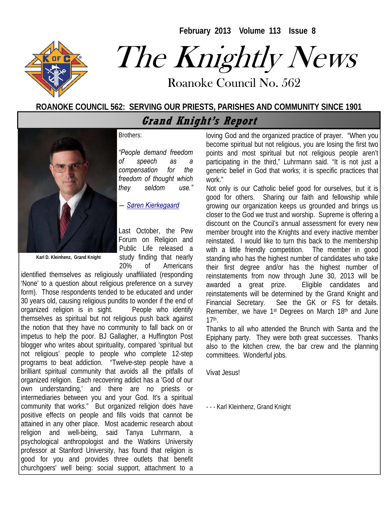**February 2013 Volume 113 Issue 8** 



# The Knightly News

Roanoke Council No. 562 Roanoke Council No. 562

#### **ROANOKE COUNCIL 562: SERVING OUR PRIESTS, PARISHES AND COMMUNITY SINCE 1901**

**Grand Knight's Report** 

Brothers:

*"People demand freedom of speech as a compensation for the freedom of thought which they seldom use."* 

*― Søren Kierkegaard* 

**Karl D. Kleinhenz, Grand Knight** 

Last October, the Pew Forum on Religion and Public Life released a study finding that nearly 20% of Americans

identified themselves as religiously unaffiliated (responding 'None' to a question about religious preference on a survey form). Those respondents tended to be educated and under 30 years old, causing religious pundits to wonder if the end of organized religion is in sight. People who identify themselves as spiritual but not religious push back against the notion that they have no community to fall back on or impetus to help the poor. BJ Gallagher, a Huffington Post blogger who writes about spirituality, compared 'spiritual but not religious' people to people who complete 12-step programs to beat addiction. "Twelve-step people have a brilliant spiritual community that avoids all the pitfalls of organized religion. Each recovering addict has a 'God of our own understanding,' and there are no priests or intermediaries between you and your God. It's a spiritual community that works." But organized religion does have positive effects on people and fills voids that cannot be attained in any other place. Most academic research about religion and well-being, said Tanya Luhrmann, a psychological anthropologist and the Watkins University professor at Stanford University, has found that religion is good for you and provides three outlets that benefit churchgoers' well being: social support, attachment to a

loving God and the organized practice of prayer. "When you become spiritual but not religious, you are losing the first two points and most spiritual but not religious people aren't participating in the third," Luhrmann said. "It is not just a generic belief in God that works; it is specific practices that work."

Not only is our Catholic belief good for ourselves, but it is good for others. Sharing our faith and fellowship while growing our organization keeps us grounded and brings us closer to the God we trust and worship. Supreme is offering a discount on the Council's annual assessment for every new member brought into the Knights and every inactive member reinstated. I would like to turn this back to the membership with a little friendly competition. The member in good standing who has the highest number of candidates who take their first degree and/or has the highest number of reinstatements from now through June 30, 2013 will be awarded a great prize. Eligible candidates and reinstatements will be determined by the Grand Knight and Financial Secretary. See the GK or FS for details. Remember, we have 1<sup>st</sup> Degrees on March 18<sup>th</sup> and June 17th.

Thanks to all who attended the Brunch with Santa and the Epiphany party. They were both great successes. Thanks also to the kitchen crew, the bar crew and the planning committees. Wonderful jobs.

Vivat Jesus!

- - - Karl Kleinhenz, Grand Knight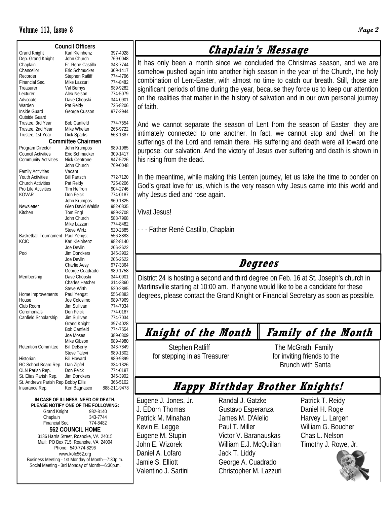| <b>Council Officers</b>             |                           |              |  |  |  |  |  |  |  |
|-------------------------------------|---------------------------|--------------|--|--|--|--|--|--|--|
| <b>Grand Knight</b>                 | Karl Kleinhenz            | 397-4028     |  |  |  |  |  |  |  |
| Dep. Grand Knight                   | John Church               | 769-0048     |  |  |  |  |  |  |  |
| Chaplain                            | Fr. Rene Castillo         | 343-7744     |  |  |  |  |  |  |  |
| Chancellor                          | Eric Schmucker            | 309-1417     |  |  |  |  |  |  |  |
| Recorder                            | <b>Stephen Ratliff</b>    | 774-4796     |  |  |  |  |  |  |  |
| Financial Sec.                      | Mike Lazzuri              | 774-8482     |  |  |  |  |  |  |  |
| Treasurer                           | Val Bernys                | 989-9282     |  |  |  |  |  |  |  |
| Lecturer                            | Alex Nelson               | 774-5079     |  |  |  |  |  |  |  |
| Advocate                            | Dave Chopski              | 344-0901     |  |  |  |  |  |  |  |
| Warden                              | Pat Reidy                 | 725-8206     |  |  |  |  |  |  |  |
| Inside Guard                        | George Cusson             | 977-2944     |  |  |  |  |  |  |  |
| Outside Guard                       |                           |              |  |  |  |  |  |  |  |
| Trustee, 3rd Year                   | <b>Bob Canfield</b>       | 774-7554     |  |  |  |  |  |  |  |
| Trustee, 2nd Year                   | Mike Whelan               | 265-9722     |  |  |  |  |  |  |  |
| Trustee, 1st Year                   | Dick Sparks               | 563-1387     |  |  |  |  |  |  |  |
|                                     |                           |              |  |  |  |  |  |  |  |
|                                     | <b>Committee Chairmen</b> |              |  |  |  |  |  |  |  |
| Program Director                    | John Krumpos              | 989-1985     |  |  |  |  |  |  |  |
| Council Activities                  | Eric Schmucker            | 309-1417     |  |  |  |  |  |  |  |
| <b>Community Activities</b>         | Nick Centrone             | 947-5226     |  |  |  |  |  |  |  |
|                                     | John Church               | 769-0048     |  |  |  |  |  |  |  |
| <b>Family Activities</b>            | Vacant                    |              |  |  |  |  |  |  |  |
| <b>Youth Activities</b>             | <b>Bill Partsch</b>       | 772-7120     |  |  |  |  |  |  |  |
| <b>Church Activities</b>            | Pat Reidy                 | 725-8206     |  |  |  |  |  |  |  |
| Pro Life Activities                 | Tim Heffron               | 904-2746     |  |  |  |  |  |  |  |
| KOVAR                               | Don Feick                 | 774-0187     |  |  |  |  |  |  |  |
|                                     | John Krumpos              | 960-1825     |  |  |  |  |  |  |  |
| Newsletter                          | Glen David Waldis         | 982-0835     |  |  |  |  |  |  |  |
| Kitchen                             | Tom Engl                  | 989-3708     |  |  |  |  |  |  |  |
|                                     | John Church               | 588-7968     |  |  |  |  |  |  |  |
|                                     | Mike Lazzuri              | 774-8482     |  |  |  |  |  |  |  |
|                                     | <b>Steve Wirtz</b>        | 520-2885     |  |  |  |  |  |  |  |
| <b>Basketball Tournament</b>        | Paul Yengst               | 556-8883     |  |  |  |  |  |  |  |
| KCIC                                | Karl Kleinhenz            | 982-8140     |  |  |  |  |  |  |  |
|                                     | Joe Devlin                | 206-2622     |  |  |  |  |  |  |  |
| Pool                                | Jim Donckers              | 345-3902     |  |  |  |  |  |  |  |
|                                     | Joe Devlin                | 206-2622     |  |  |  |  |  |  |  |
|                                     | Charlie Aesy              | 977-3364     |  |  |  |  |  |  |  |
|                                     | George Cuadrado           | 989-1758     |  |  |  |  |  |  |  |
| Membership                          | Dave Chopski              | 344-0901     |  |  |  |  |  |  |  |
|                                     | <b>Charles Hatcher</b>    | 314-3360     |  |  |  |  |  |  |  |
|                                     | <b>Steve Wirth</b>        | 520-2885     |  |  |  |  |  |  |  |
| Home Improvements                   | Paul Yengst               | 556-8883     |  |  |  |  |  |  |  |
| House                               | Joe Colosimo              | 989-7969     |  |  |  |  |  |  |  |
| Club Room                           | Jim Sullivan              | 774-7034     |  |  |  |  |  |  |  |
| Ceremonials                         | Don Feick                 | 774-0187     |  |  |  |  |  |  |  |
| Canfield Scholarship                | Jim Sullivan              | 774-7034     |  |  |  |  |  |  |  |
|                                     | <b>Grand Knight</b>       | 397-4028     |  |  |  |  |  |  |  |
|                                     | <b>Bob Canfield</b>       | 774-7554     |  |  |  |  |  |  |  |
|                                     | Joe Moses                 | 389-0309     |  |  |  |  |  |  |  |
|                                     | Mike Gibson               | 989-4980     |  |  |  |  |  |  |  |
| <b>Retention Committee</b>          | <b>Bill DeBerry</b>       | 343-7849     |  |  |  |  |  |  |  |
|                                     | Steve Talevi              | 989-1302     |  |  |  |  |  |  |  |
| Historian                           | <b>Bill Howard</b>        | 989-9399     |  |  |  |  |  |  |  |
| RC School Board Rep.                | Dan Zipfel                | 334-1326     |  |  |  |  |  |  |  |
| OLN Parish Rep.                     | Don Feick                 | 774-0187     |  |  |  |  |  |  |  |
| St. Elias Parish Rep.               | Jim Donckers              | 345-3902     |  |  |  |  |  |  |  |
| St. Andrews Parish Rep. Bobby Ellis |                           | 366-5102     |  |  |  |  |  |  |  |
| Insurance Rep.                      | Ken Bagnasco              | 888-211-9478 |  |  |  |  |  |  |  |
|                                     |                           |              |  |  |  |  |  |  |  |

**IN CASE OF ILLNESS, NEED OR DEATH, PLEASE NOTIFY ONE OF THE FOLLOWING:**  Grand Knight 982-8140 Chaplain 343-7744<br>Financial Sec. 774-8482 Financial Sec. **562 COUNCIL HOME**  3136 Harris Street, Roanoke, VA 24015 Mail: PO Box 715, Roanoke, VA 24004 Phone: 540-774-8296 www.kofc562.org Business Meeting - 1st Monday of Month—7:30p.m. Social Meeting - 3rd Monday of Month—6:30p.m.

#### **Chaplain's Message**

It has only been a month since we concluded the Christmas season, and we are somehow pushed again into another high season in the year of the Church, the holy combination of Lent-Easter, with almost no time to catch our breath. Still, those are significant periods of time during the year, because they force us to keep our attention on the realities that matter in the history of salvation and in our own personal journey of faith.

And we cannot separate the season of Lent from the season of Easter; they are intimately connected to one another. In fact, we cannot stop and dwell on the sufferings of the Lord and remain there. His suffering and death were all toward one purpose: our salvation. And the victory of Jesus over suffering and death is shown in his rising from the dead.

In the meantime, while making this Lenten journey, let us take the time to ponder on God's great love for us, which is the very reason why Jesus came into this world and why Jesus died and rose again.

Vivat Jesus!

- - - Father René Castillo, Chaplain

#### **Degrees**

District 24 is hosting a second and third degree on Feb. 16 at St. Joseph's church in Martinsville starting at 10:00 am. If anyone would like to be a candidate for these degrees, please contact the Grand Knight or Financial Secretary as soon as possible.

# **Knight of the Month Family of the Month**

Stephen Ratliff The McGrath Family for stepping in as Treasurer for inviting friends to the

Brunch with Santa

### **Happy Birthday Brother Knights!**

Eugene J. Jones, Jr. J. EDorn Thomas Patrick M. Minahan Kevin E. Legge Eugene M. Stupin John E. Wizorek Daniel A. Lofaro Jamie S. Elliott Valentino J. Sartini

Randal J. Gatzke Gustavo Esperanza James M. D'Alelio Paul T. Miller Victor V. Baranauskas William E.J. McQuillan Jack T. Liddy George A. Cuadrado Christopher M. Lazzuri Patrick T. Reidy Daniel H. Roge Harvey L. Largen William G. Boucher Chas L. Nelson Timothy J. Rowe, Jr.

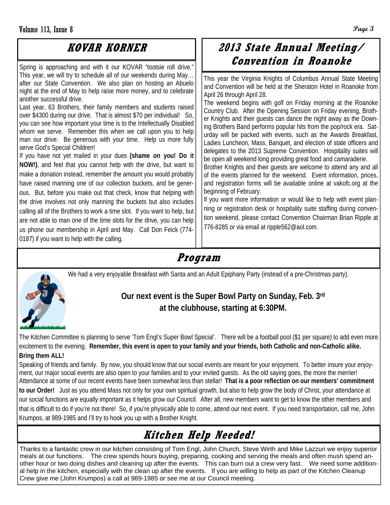#### **KOVAR KORNER**

Spring is approaching and with it our KOVAR "tootsie roll drive." This year, we will try to schedule all of our weekends during May… after our State Convention. We also plan on hosting an Abuelo night at the end of May to help raise more money, and to celebrate another successful drive.

Last year, 63 Brothers, their family members and students raised over \$4300 during our drive. That is almost \$70 per individual! So, you can see how important your time is to the Intellectually Disabled whom we serve. Remember this when we call upon you to help man our drive. Be generous with your time. Help us more fully serve God's Special Children!

If you have not yet mailed in your dues **(shame on you! Do it NOW!)**, and feel that you cannot help with the drive, but want to make a donation instead, remember the amount you would probably have raised manning one of our collection buckets, and be generous. But, before you make out that check, know that helping with the drive involves not only manning the buckets but also includes calling all of the Brothers to work a time slot. If you want to help, but are not able to man one of the time slots for the drive, you can help us phone our membership in April and May. Call Don Feick (774- 0187) if you want to help with the calling.

#### **2013 State Annual Meeting/ Convention in Roanoke**

This year the Virginia Knights of Columbus Annual State Meeting and Convention will be held at the Sheraton Hotel in Roanoke from April 26 through April 28.

The weekend begins with golf on Friday morning at the Roanoke Country Club. After the Opening Session on Friday evening, Brother Knights and their guests can dance the night away as the Downing Brothers Band performs popular hits from the pop/rock era. Saturday will be packed with events, such as the Awards Breakfast, Ladies Luncheon, Mass, Banquet, and election of state officers and delegates to the 2013 Supreme Convention. Hospitality suites will be open all weekend long providing great food and camaraderie.

Brother Knights and their guests are welcome to attend any and all of the events planned for the weekend. Event information, prices, and registration forms will be available online at vakofc.org at the beginning of February.

If you want more information or would like to help with event planning or registration desk or hospitality suite staffing during convention weekend, please contact Convention Chairman Brian Ripple at 776-8285 or via email at ripple562@aol.com.

#### **Program**

We had a very enjoyable Breakfast with Santa and an Adult Epiphany Party (instead of a pre-Christmas party).



#### **Our next event is the Super Bowl Party on Sunday, Feb. 3rd at the clubhouse, starting at 6:30PM.**

The Kitchen Committee is planning to serve 'Tom Engl's Super Bowl Special'. There will be a football pool (\$1 per square) to add even more excitement to the evening. **Remember, this event is open to your family and your friends, both Catholic and non-Catholic alike. Bring them ALL!** 

Speaking of friends and family. By now, you should know that our social events are meant for your enjoyment. To better insure your enjoyment, our major social events are also open to your families and to your invited guests. As the old saying goes, the more the merrier! Attendance at some of our recent events have been somewhat less than stellar! **That is a poor reflection on our members' commitment to our Order!** Just as you attend Mass not only for your own spiritual growth, but also to help grow the body of Christ, your attendance at our social functions are equally important as it helps grow our Council. After all, new members want to get to know the other members and that is difficult to do if you're not there! So, if you're physically able to come, attend our next event. If you need transportation, call me, John Krumpos, at 989-1985 and I'll try to hook you up with a Brother Knight.

## **Kitchen Help Needed!**

Thanks to a fantastic crew in our kitchen consisting of Tom Engl, John Church, Steve Wirth and Mike Lazzuri we enjoy superior meals at our functions. The crew spends hours buying, preparing, cooking and serving the meals and often mush spend another hour or two doing dishes and cleaning up after the events. This can burn out a crew very fast. We need some additional help in the kitchen, especially with the clean up after the events. If you are willing to help as part of the Kitchen Cleanup Crew give me (John Krumpos) a call at 989-1985 or see me at our Council meeting.